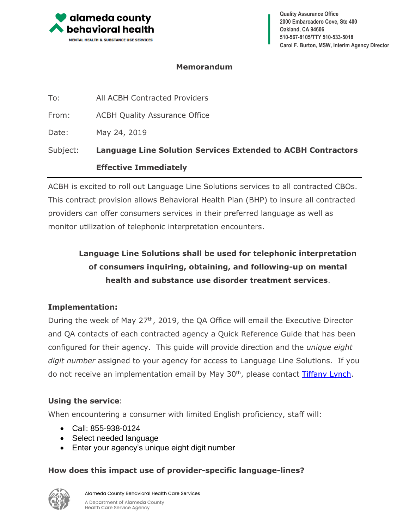

**Quality Assurance Office 2000 Embarcadero Cove, Ste 400 Oakland, CA 94606 510-567-8105/TTY 510-533-5018 Carol F. Burton, MSW, Interim Agency Director**

#### **Memorandum**

|          | <b>Effective Immediately</b>                                        |
|----------|---------------------------------------------------------------------|
| Subject: | <b>Language Line Solution Services Extended to ACBH Contractors</b> |
| Date:    | May 24, 2019                                                        |
| From:    | <b>ACBH Quality Assurance Office</b>                                |
| To:      | All ACBH Contracted Providers                                       |

ACBH is excited to roll out Language Line Solutions services to all contracted CBOs. This contract provision allows Behavioral Health Plan (BHP) to insure all contracted providers can offer consumers services in their preferred language as well as monitor utilization of telephonic interpretation encounters.

# **Language Line Solutions shall be used for telephonic interpretation of consumers inquiring, obtaining, and following-up on mental health and substance use disorder treatment services**.

### **Implementation:**

During the week of May 27<sup>th</sup>, 2019, the QA Office will email the Executive Director and QA contacts of each contracted agency a Quick Reference Guide that has been configured for their agency. This guide will provide direction and the *unique eight digit number* assigned to your agency for access to Language Line Solutions. If you do not receive an implementation email by May 30<sup>th</sup>, please contact [Tiffany Lynch.](mailto:Tiffany.Lynch@acgv.org?subject=Language%20Line)

### **Using the service**:

When encountering a consumer with limited English proficiency, staff will:

- Call: 855-938-0124
- Select needed language
- Enter your agency's unique eight digit number

## **How does this impact use of provider-specific language-lines?**



Alameda County Behavioral Health Care Services A Department of Alameda County